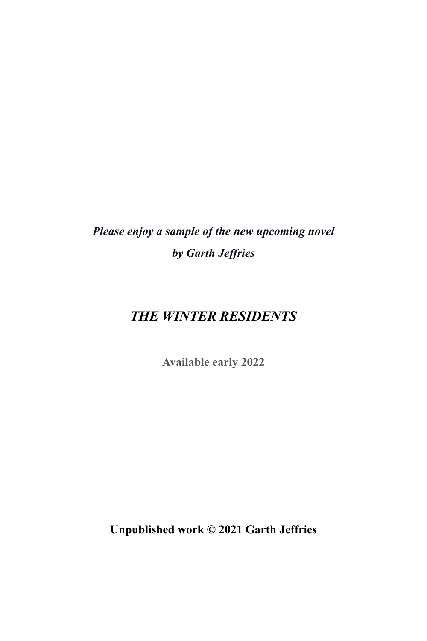*Please enjoy a sample of the new upcoming novel by Garth Jeffries*

## *THE WINTER RESIDENTS*

**Available early 2022**

**Unpublished work © 2021 Garth Jeffries**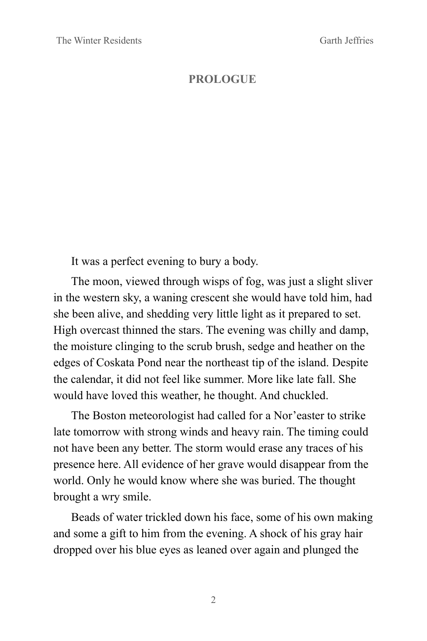## **PROLOGUE**

It was a perfect evening to bury a body.

The moon, viewed through wisps of fog, was just a slight sliver in the western sky, a waning crescent she would have told him, had she been alive, and shedding very little light as it prepared to set. High overcast thinned the stars. The evening was chilly and damp, the moisture clinging to the scrub brush, sedge and heather on the edges of Coskata Pond near the northeast tip of the island. Despite the calendar, it did not feel like summer. More like late fall. She would have loved this weather, he thought. And chuckled.

The Boston meteorologist had called for a Nor'easter to strike late tomorrow with strong winds and heavy rain. The timing could not have been any better. The storm would erase any traces of his presence here. All evidence of her grave would disappear from the world. Only he would know where she was buried. The thought brought a wry smile.

Beads of water trickled down his face, some of his own making and some a gift to him from the evening. A shock of his gray hair dropped over his blue eyes as leaned over again and plunged the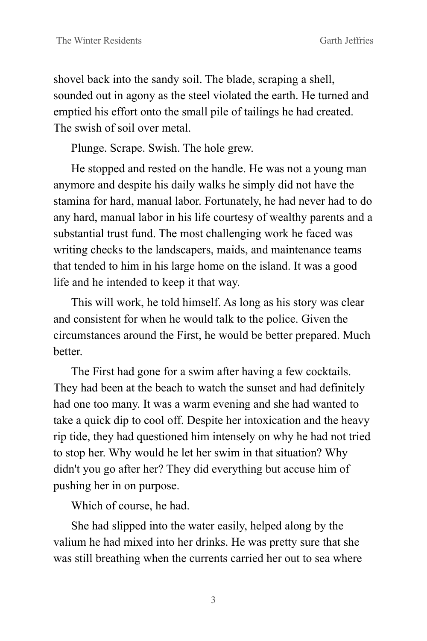shovel back into the sandy soil. The blade, scraping a shell, sounded out in agony as the steel violated the earth. He turned and emptied his effort onto the small pile of tailings he had created. The swish of soil over metal.

Plunge. Scrape. Swish. The hole grew.

He stopped and rested on the handle. He was not a young man anymore and despite his daily walks he simply did not have the stamina for hard, manual labor. Fortunately, he had never had to do any hard, manual labor in his life courtesy of wealthy parents and a substantial trust fund. The most challenging work he faced was writing checks to the landscapers, maids, and maintenance teams that tended to him in his large home on the island. It was a good life and he intended to keep it that way.

This will work, he told himself. As long as his story was clear and consistent for when he would talk to the police. Given the circumstances around the First, he would be better prepared. Much **better** 

The First had gone for a swim after having a few cocktails. They had been at the beach to watch the sunset and had definitely had one too many. It was a warm evening and she had wanted to take a quick dip to cool off. Despite her intoxication and the heavy rip tide, they had questioned him intensely on why he had not tried to stop her. Why would he let her swim in that situation? Why didn't you go after her? They did everything but accuse him of pushing her in on purpose.

Which of course, he had.

She had slipped into the water easily, helped along by the valium he had mixed into her drinks. He was pretty sure that she was still breathing when the currents carried her out to sea where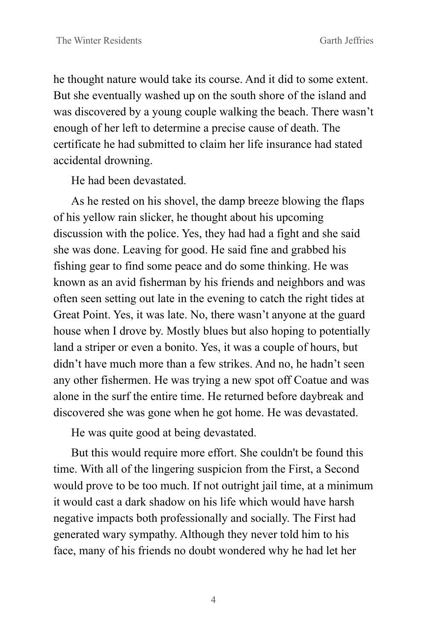he thought nature would take its course. And it did to some extent. But she eventually washed up on the south shore of the island and was discovered by a young couple walking the beach. There wasn't enough of her left to determine a precise cause of death. The certificate he had submitted to claim her life insurance had stated accidental drowning.

He had been devastated.

As he rested on his shovel, the damp breeze blowing the flaps of his yellow rain slicker, he thought about his upcoming discussion with the police. Yes, they had had a fight and she said she was done. Leaving for good. He said fine and grabbed his fishing gear to find some peace and do some thinking. He was known as an avid fisherman by his friends and neighbors and was often seen setting out late in the evening to catch the right tides at Great Point. Yes, it was late. No, there wasn't anyone at the guard house when I drove by. Mostly blues but also hoping to potentially land a striper or even a bonito. Yes, it was a couple of hours, but didn't have much more than a few strikes. And no, he hadn't seen any other fishermen. He was trying a new spot off Coatue and was alone in the surf the entire time. He returned before daybreak and discovered she was gone when he got home. He was devastated.

He was quite good at being devastated.

But this would require more effort. She couldn't be found this time. With all of the lingering suspicion from the First, a Second would prove to be too much. If not outright jail time, at a minimum it would cast a dark shadow on his life which would have harsh negative impacts both professionally and socially. The First had generated wary sympathy. Although they never told him to his face, many of his friends no doubt wondered why he had let her

4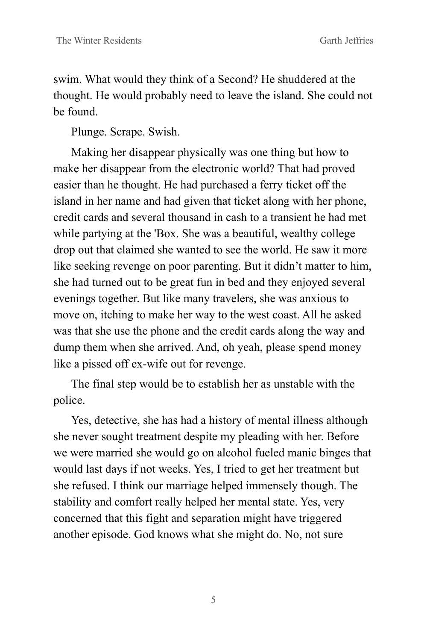swim. What would they think of a Second? He shuddered at the thought. He would probably need to leave the island. She could not be found.

Plunge. Scrape. Swish.

Making her disappear physically was one thing but how to make her disappear from the electronic world? That had proved easier than he thought. He had purchased a ferry ticket off the island in her name and had given that ticket along with her phone, credit cards and several thousand in cash to a transient he had met while partying at the 'Box. She was a beautiful, wealthy college drop out that claimed she wanted to see the world. He saw it more like seeking revenge on poor parenting. But it didn't matter to him, she had turned out to be great fun in bed and they enjoyed several evenings together. But like many travelers, she was anxious to move on, itching to make her way to the west coast. All he asked was that she use the phone and the credit cards along the way and dump them when she arrived. And, oh yeah, please spend money like a pissed off ex-wife out for revenge.

The final step would be to establish her as unstable with the police.

Yes, detective, she has had a history of mental illness although she never sought treatment despite my pleading with her. Before we were married she would go on alcohol fueled manic binges that would last days if not weeks. Yes, I tried to get her treatment but she refused. I think our marriage helped immensely though. The stability and comfort really helped her mental state. Yes, very concerned that this fight and separation might have triggered another episode. God knows what she might do. No, not sure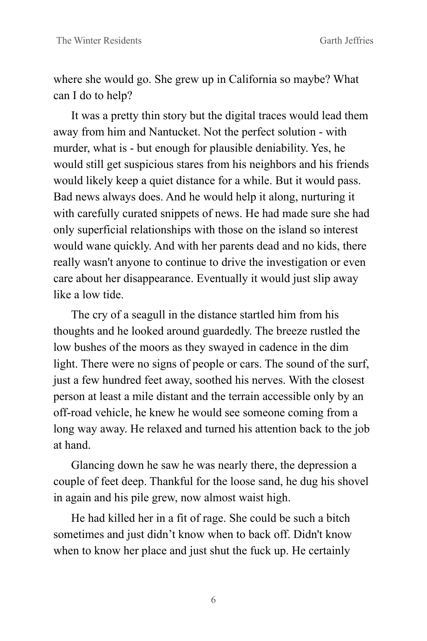where she would go. She grew up in California so maybe? What can I do to help?

It was a pretty thin story but the digital traces would lead them away from him and Nantucket. Not the perfect solution - with murder, what is - but enough for plausible deniability. Yes, he would still get suspicious stares from his neighbors and his friends would likely keep a quiet distance for a while. But it would pass. Bad news always does. And he would help it along, nurturing it with carefully curated snippets of news. He had made sure she had only superficial relationships with those on the island so interest would wane quickly. And with her parents dead and no kids, there really wasn't anyone to continue to drive the investigation or even care about her disappearance. Eventually it would just slip away like a low tide.

The cry of a seagull in the distance startled him from his thoughts and he looked around guardedly. The breeze rustled the low bushes of the moors as they swayed in cadence in the dim light. There were no signs of people or cars. The sound of the surf, just a few hundred feet away, soothed his nerves. With the closest person at least a mile distant and the terrain accessible only by an off-road vehicle, he knew he would see someone coming from a long way away. He relaxed and turned his attention back to the job at hand.

Glancing down he saw he was nearly there, the depression a couple of feet deep. Thankful for the loose sand, he dug his shovel in again and his pile grew, now almost waist high.

He had killed her in a fit of rage. She could be such a bitch sometimes and just didn't know when to back off. Didn't know when to know her place and just shut the fuck up. He certainly

6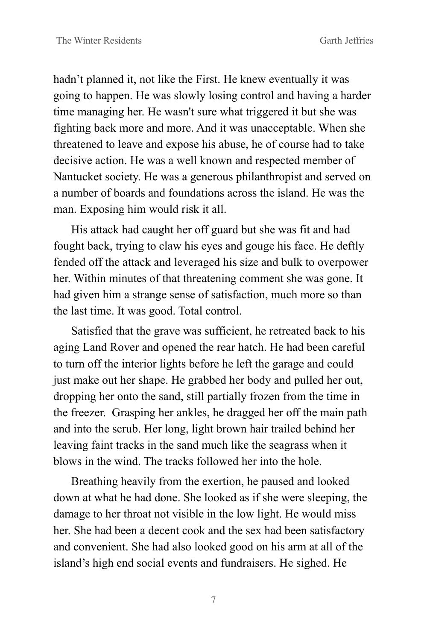hadn't planned it, not like the First. He knew eventually it was going to happen. He was slowly losing control and having a harder time managing her. He wasn't sure what triggered it but she was fighting back more and more. And it was unacceptable. When she threatened to leave and expose his abuse, he of course had to take decisive action. He was a well known and respected member of Nantucket society. He was a generous philanthropist and served on a number of boards and foundations across the island. He was the man. Exposing him would risk it all.

His attack had caught her off guard but she was fit and had fought back, trying to claw his eyes and gouge his face. He deftly fended off the attack and leveraged his size and bulk to overpower her. Within minutes of that threatening comment she was gone. It had given him a strange sense of satisfaction, much more so than the last time. It was good. Total control.

Satisfied that the grave was sufficient, he retreated back to his aging Land Rover and opened the rear hatch. He had been careful to turn off the interior lights before he left the garage and could just make out her shape. He grabbed her body and pulled her out, dropping her onto the sand, still partially frozen from the time in the freezer. Grasping her ankles, he dragged her off the main path and into the scrub. Her long, light brown hair trailed behind her leaving faint tracks in the sand much like the seagrass when it blows in the wind. The tracks followed her into the hole.

Breathing heavily from the exertion, he paused and looked down at what he had done. She looked as if she were sleeping, the damage to her throat not visible in the low light. He would miss her. She had been a decent cook and the sex had been satisfactory and convenient. She had also looked good on his arm at all of the island's high end social events and fundraisers. He sighed. He

7